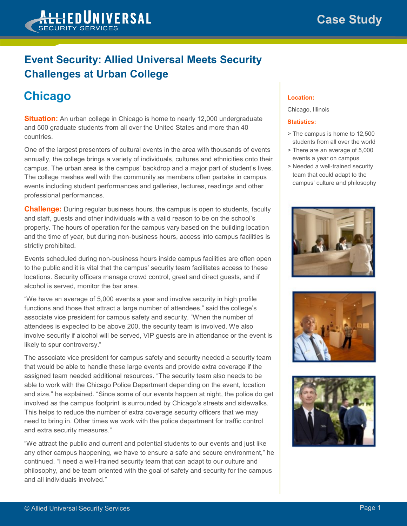## **Event Security: Allied Universal Meets Security Challenges at Urban College**

## **Chicago**

**Situation:** An urban college in Chicago is home to nearly 12,000 undergraduate and 500 graduate students from all over the United States and more than 40 countries.

One of the largest presenters of cultural events in the area with thousands of events annually, the college brings a variety of individuals, cultures and ethnicities onto their campus. The urban area is the campus' backdrop and a major part of student's lives. The college meshes well with the community as members often partake in campus events including student performances and galleries, lectures, readings and other professional performances.

**Challenge:** During regular business hours, the campus is open to students, faculty and staff, guests and other individuals with a valid reason to be on the school's property. The hours of operation for the campus vary based on the building location and the time of year, but during non-business hours, access into campus facilities is strictly prohibited.

Events scheduled during non-business hours inside campus facilities are often open to the public and it is vital that the campus' security team facilitates access to these locations. Security officers manage crowd control, greet and direct guests, and if alcohol is served, monitor the bar area.

"We have an average of 5,000 events a year and involve security in high profile functions and those that attract a large number of attendees," said the college's associate vice president for campus safety and security. "When the number of attendees is expected to be above 200, the security team is involved. We also involve security if alcohol will be served, VIP guests are in attendance or the event is likely to spur controversy."

The associate vice president for campus safety and security needed a security team that would be able to handle these large events and provide extra coverage if the assigned team needed additional resources. "The security team also needs to be able to work with the Chicago Police Department depending on the event, location and size," he explained. "Since some of our events happen at night, the police do get involved as the campus footprint is surrounded by Chicago's streets and sidewalks. This helps to reduce the number of extra coverage security officers that we may need to bring in. Other times we work with the police department for traffic control and extra security measures."

"We attract the public and current and potential students to our events and just like any other campus happening, we have to ensure a safe and secure environment," he continued. "I need a well-trained security team that can adapt to our culture and philosophy, and be team oriented with the goal of safety and security for the campus and all individuals involved."

## **Location:**

Chicago, Illinois

## **Statistics:**

- > The campus is home to 12,500 students from all over the world
- > There are an average of 5,000 events a year on campus
- > Needed a well-trained security team that could adapt to the campus' culture and philosophy